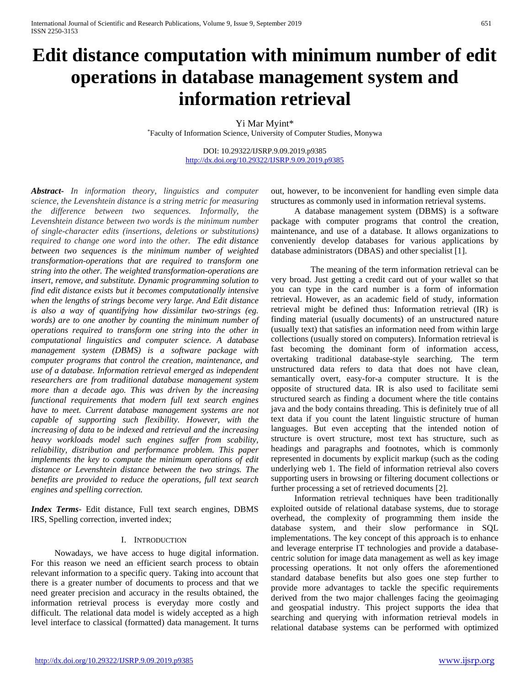# **Edit distance computation with minimum number of edit operations in database management system and information retrieval**

Yi Mar Myint\* \*Faculty of Information Science, University of Computer Studies, Monywa

> DOI: 10.29322/IJSRP.9.09.2019.p9385 <http://dx.doi.org/10.29322/IJSRP.9.09.2019.p9385>

*Abstract***-** *In information theory, linguistics and computer science, the Levenshtein distance is a string metric for measuring the difference between two sequences. Informally, the Levenshtein distance between two words is the minimum number of single-character edits (insertions, deletions or substitutions) required to change one word into the other. The edit distance between two sequences is the minimum number of weighted transformation-operations that are required to transform one string into the other. The weighted transformation-operations are insert, remove, and substitute. Dynamic programming solution to find edit distance exists but it becomes computationally intensive when the lengths of strings become very large. And Edit distance is also a way of quantifying how dissimilar two-strings (eg. words) are to one another by counting the minimum number of operations required to transform one string into the other in computational linguistics and computer science. A database management system (DBMS) is a software package with computer programs that control the creation, maintenance, and use of a database. Information retrieval emerged as independent researchers are from traditional database management system more than a decade ago. This was driven by the increasing functional requirements that modern full text search engines have to meet. Current database management systems are not capable of supporting such flexibility. However, with the increasing of data to be indexed and retrieval and the increasing heavy workloads model such engines suffer from scability, reliability, distribution and performance problem. This paper implements the key to compute the minimum operations of edit distance or Levenshtein distance between the two strings. The benefits are provided to reduce the operations, full text search engines and spelling correction.*

*Index Terms*- Edit distance, Full text search engines, DBMS IRS, Spelling correction, inverted index;

#### I. INTRODUCTION

Nowadays, we have access to huge digital information. For this reason we need an efficient search process to obtain relevant information to a specific query. Taking into account that there is a greater number of documents to process and that we need greater precision and accuracy in the results obtained, the information retrieval process is everyday more costly and difficult. The relational data model is widely accepted as a high level interface to classical (formatted) data management. It turns out, however, to be inconvenient for handling even simple data structures as commonly used in information retrieval systems.

A database management system (DBMS) is a software package with computer programs that control the creation, maintenance, and use of a database. It allows organizations to conveniently develop databases for various applications by database administrators (DBAS) and other specialist [1].

The meaning of the term information retrieval can be very broad. Just getting a credit card out of your wallet so that you can type in the card number is a form of information retrieval. However, as an academic field of study, information retrieval might be defined thus: Information retrieval (IR) is finding material (usually documents) of an unstructured nature (usually text) that satisfies an information need from within large collections (usually stored on computers). Information retrieval is fast becoming the dominant form of information access, overtaking traditional database-style searching. The term unstructured data refers to data that does not have clean, semantically overt, easy-for-a computer structure. It is the opposite of structured data. IR is also used to facilitate semi structured search as finding a document where the title contains java and the body contains threading. This is definitely true of all text data if you count the latent linguistic structure of human languages. But even accepting that the intended notion of structure is overt structure, most text has structure, such as headings and paragraphs and footnotes, which is commonly represented in documents by explicit markup (such as the coding underlying web 1. The field of information retrieval also covers supporting users in browsing or filtering document collections or further processing a set of retrieved documents [2].

Information retrieval techniques have been traditionally exploited outside of relational database systems, due to storage overhead, the complexity of programming them inside the database system, and their slow performance in SQL implementations. The key concept of this approach is to enhance and leverage enterprise IT technologies and provide a databasecentric solution for image data management as well as key image processing operations. It not only offers the aforementioned standard database benefits but also goes one step further to provide more advantages to tackle the specific requirements derived from the two major challenges facing the geoimaging and geospatial industry. This project supports the idea that searching and querying with information retrieval models in relational database systems can be performed with optimized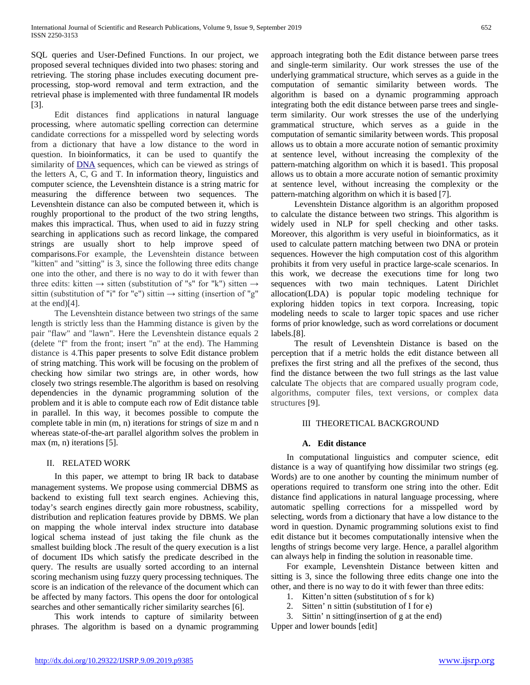SQL queries and User-Defined Functions. In our project, we proposed several techniques divided into two phases: storing and retrieving. The storing phase includes executing document preprocessing, stop-word removal and term extraction, and the retrieval phase is implemented with three fundamental IR models [3].

Edit distances find applications in natural language processing, where automatic spelling correction can determine candidate corrections for a misspelled word by selecting words from a dictionary that have a low distance to the word in question. In bioinformatics, it can be used to quantify the similarity of [DNA](https://en.wikipedia.org/wiki/DNA) sequences, which can be viewed as strings of the letters A, C, G and T. In information theory, linguistics and computer science, the Levenshtein distance is a string matric for measuring the difference between two sequences. The Levenshtein distance can also be computed between it, which is roughly proportional to the product of the two string lengths, makes this impractical. Thus, when used to aid in fuzzy string searching in applications such as record linkage, the compared strings are usually short to help improve speed of comparisons.For example, the Levenshtein distance between "kitten" and "sitting" is 3, since the following three edits change one into the other, and there is no way to do it with fewer than three edits: kitten  $\rightarrow$  sitten (substitution of "s" for "k") sitten  $\rightarrow$ sittin (substitution of "i" for "e") sittin  $\rightarrow$  sitting (insertion of "g" at the end)[4].

The Levenshtein distance between two strings of the same length is strictly less than the Hamming distance is given by the pair "flaw" and "lawn". Here the Levenshtein distance equals 2 (delete "f" from the front; insert "n" at the end). The Hamming distance is 4.This paper presents to solve Edit distance problem of string matching. This work will be focusing on the problem of checking how similar two strings are, in other words, how closely two strings resemble.The algorithm is based on resolving dependencies in the dynamic programming solution of the problem and it is able to compute each row of Edit distance table in parallel. In this way, it becomes possible to compute the complete table in min (m, n) iterations for strings of size m and n whereas state-of-the-art parallel algorithm solves the problem in max (m, n) iterations [5].

#### II. RELATED WORK

In this paper, we attempt to bring IR back to database management systems. We propose using commercial DBMS as backend to existing full text search engines. Achieving this, today's search engines directly gain more robustness, scability, distribution and replication features provide by DBMS. We plan on mapping the whole interval index structure into database logical schema instead of just taking the file chunk as the smallest building block .The result of the query execution is a list of document IDs which satisfy the predicate described in the query. The results are usually sorted according to an internal scoring mechanism using fuzzy query processing techniques. The score is an indication of the relevance of the document which can be affected by many factors. This opens the door for ontological searches and other semantically richer similarity searches [6].

This work intends to capture of similarity between phrases. The algorithm is based on a dynamic programming approach integrating both the Edit distance between parse trees and single-term similarity. Our work stresses the use of the underlying grammatical structure, which serves as a guide in the computation of semantic similarity between words. The algorithm is based on a dynamic programming approach integrating both the edit distance between parse trees and singleterm similarity. Our work stresses the use of the underlying grammatical structure, which serves as a guide in the computation of semantic similarity between words. This proposal allows us to obtain a more accurate notion of semantic proximity at sentence level, without increasing the complexity of the pattern-matching algorithm on which it is based1. This proposal allows us to obtain a more accurate notion of semantic proximity at sentence level, without increasing the complexity or the pattern-matching algorithm on which it is based [7].

Levenshtein Distance algorithm is an algorithm proposed to calculate the distance between two strings. This algorithm is widely used in NLP for spell checking and other tasks. Moreover, this algorithm is very useful in bioinformatics, as it used to calculate pattern matching between two DNA or protein sequences. However the high computation cost of this algorithm prohibits it from very useful in practice large-scale scenarios. In this work, we decrease the executions time for long two sequences with two main techniques. Latent Dirichlet allocation(LDA) is popular topic modeling technique for exploring hidden topics in text corpora. Increasing, topic modeling needs to scale to larger topic spaces and use richer forms of prior knowledge, such as word correlations or document labels.[8].

The result of Levenshtein Distance is based on the perception that if a metric holds the edit distance between all prefixes the first string and all the prefixes of the second, thus find the distance between the two full strings as the last value calculate The objects that are compared usually program code, algorithms, computer files, text versions, or complex data structures [9].

#### III THEORETICAL BACKGROUND

## **A. Edit distance**

In computational linguistics and computer science, edit distance is a way of quantifying how dissimilar two strings (eg. Words) are to one another by counting the minimum number of operations required to transform one string into the other. Edit distance find applications in natural language processing, where automatic spelling corrections for a misspelled word by selecting, words from a dictionary that have a low distance to the word in question. Dynamic programming solutions exist to find edit distance but it becomes computationally intensive when the lengths of strings become very large. Hence, a parallel algorithm can always help in finding the solution in reasonable time.

For example, Levenshtein Distance between kitten and sitting is 3, since the following three edits change one into the other, and there is no way to do it with fewer than three edits:

- 1. Kitten'n sitten (substitution of s for k)
- 2. Sitten' n sittin (substitution of I for e)
- 3. Sittin' n sitting(insertion of g at the end)

Upper and lower bounds [edit]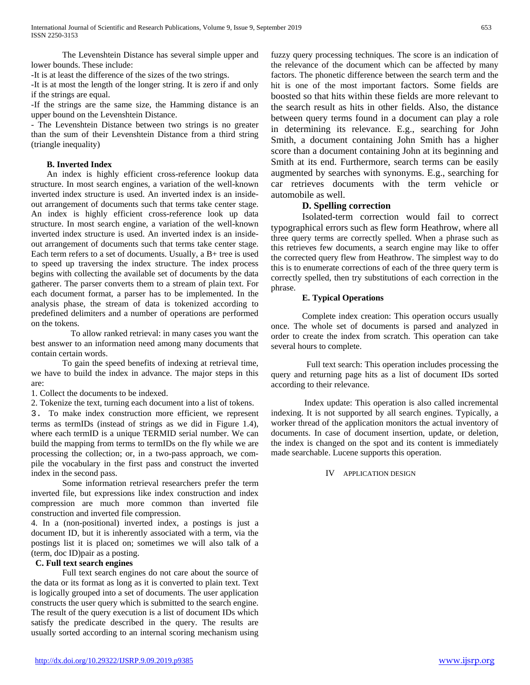The Levenshtein Distance has several simple upper and lower bounds. These include:

-It is at least the difference of the sizes of the two strings.

-It is at most the length of the longer string. It is zero if and only if the strings are equal.

-If the strings are the same size, the Hamming distance is an upper bound on the Levenshtein Distance.

- The Levenshtein Distance between two strings is no greater than the sum of their Levenshtein Distance from a third string (triangle inequality)

## **B. Inverted Index**

An index is highly efficient cross-reference lookup data structure. In most search engines, a variation of the well-known inverted index structure is used. An inverted index is an insideout arrangement of documents such that terms take center stage. An index is highly efficient cross-reference look up data structure. In most search engine, a variation of the well-known inverted index structure is used. An inverted index is an insideout arrangement of documents such that terms take center stage. Each term refers to a set of documents. Usually, a B+ tree is used to speed up traversing the index structure. The index process begins with collecting the available set of documents by the data gatherer. The parser converts them to a stream of plain text. For each document format, a parser has to be implemented. In the analysis phase, the stream of data is tokenized according to predefined delimiters and a number of operations are performed on the tokens.

To allow ranked retrieval: in many cases you want the best answer to an information need among many documents that contain certain words.

To gain the speed benefits of indexing at retrieval time, we have to build the index in advance. The major steps in this are:

1. Collect the documents to be indexed.

2. Tokenize the text, turning each document into a list of tokens.

3. To make index construction more efficient, we represent terms as termIDs (instead of strings as we did in Figure 1.4), where each termID is a unique TERMID serial number. We can build the mapping from terms to termIDs on the fly while we are processing the collection; or, in a two-pass approach, we compile the vocabulary in the first pass and construct the inverted index in the second pass.

Some information retrieval researchers prefer the term inverted file, but expressions like index construction and index compression are much more common than inverted file construction and inverted file compression.

4. In a (non-positional) inverted index, a postings is just a document ID, but it is inherently associated with a term, via the postings list it is placed on; sometimes we will also talk of a (term, doc ID)pair as a posting.

## **C. Full text search engines**

Full text search engines do not care about the source of the data or its format as long as it is converted to plain text. Text is logically grouped into a set of documents. The user application constructs the user query which is submitted to the search engine. The result of the query execution is a list of document IDs which satisfy the predicate described in the query. The results are usually sorted according to an internal scoring mechanism using

fuzzy query processing techniques. The score is an indication of the relevance of the document which can be affected by many factors. The phonetic difference between the search term and the hit is one of the most important factors. Some fields are boosted so that hits within these fields are more relevant to the search result as hits in other fields. Also, the distance between query terms found in a document can play a role in determining its relevance. E.g., searching for John Smith, a document containing John Smith has a higher score than a document containing John at its beginning and Smith at its end. Furthermore, search terms can be easily augmented by searches with synonyms. E.g., searching for car retrieves documents with the term vehicle or automobile as well.

## **D. Spelling correction**

Isolated-term correction would fail to correct typographical errors such as flew form Heathrow, where all three query terms are correctly spelled. When a phrase such as this retrieves few documents, a search engine may like to offer the corrected query flew from Heathrow. The simplest way to do this is to enumerate corrections of each of the three query term is correctly spelled, then try substitutions of each correction in the phrase.

## **E. Typical Operations**

Complete index creation: This operation occurs usually once. The whole set of documents is parsed and analyzed in order to create the index from scratch. This operation can take several hours to complete.

 Full text search: This operation includes processing the query and returning page hits as a list of document IDs sorted according to their relevance.

Index update: This operation is also called incremental indexing. It is not supported by all search engines. Typically, a worker thread of the application monitors the actual inventory of documents. In case of document insertion, update, or deletion, the index is changed on the spot and its content is immediately made searchable. Lucene supports this operation.

IV APPLICATION DESIGN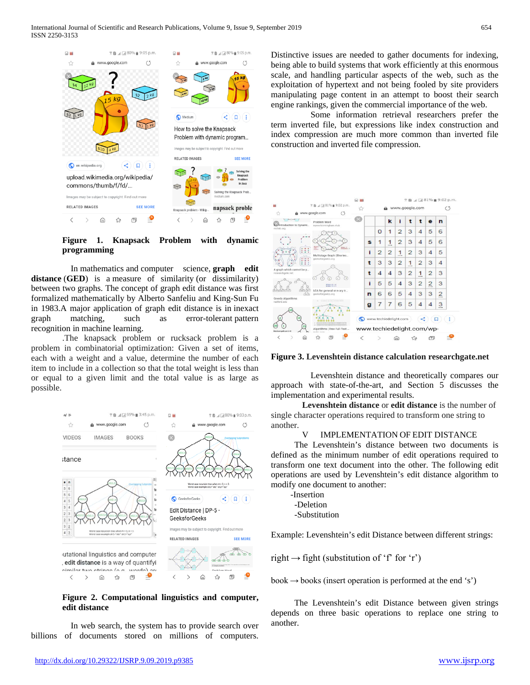

**Figure 1. Knapsack Problem with dynamic programming**

In mathematics and computer science, **graph edit distance** (**GED**) is a measure of similarity (or dissimilarity) between two graphs. The concept of graph edit distance was first formalized mathematically by Alberto Sanfeliu and King-Sun Fu in 1983.A major application of graph edit distance is in inexact graph matching, such as error-tolerant pattern recognition in machine learning.

.The knapsack problem or rucksack problem is a problem in combinatorial optimization: Given a set of items, each with a weight and a value, determine the number of each item to include in a collection so that the total weight is less than or equal to a given limit and the total value is as large as possible.



**Figure 2. Computational linguistics and computer, edit distance**

In web search, the system has to provide search over billions of documents stored on millions of computers. Distinctive issues are needed to gather documents for indexing, being able to build systems that work efficiently at this enormous scale, and handling particular aspects of the web, such as the exploitation of hypertext and not being fooled by site providers manipulating page content in an attempt to boost their search engine rankings, given the commercial importance of the web.

Some information retrieval researchers prefer the term inverted file, but expressions like index construction and index compression are much more common than inverted file construction and inverted file compression.



**Figure 3. Levenshtein distance calculation researchgate.net**

Levenshtein distance and theoretically compares our approach with state-of-the-art, and Section 5 discusses the implementation and experimental results.

**Levenshtein distance** or **edit distance** is the number of single character operations required to transform one string to another.

#### IMPLEMENTATION OF EDIT DISTANCE

The Levenshtein's distance between two documents is defined as the minimum number of edit operations required to transform one text document into the other. The following edit operations are used by Levenshtein's edit distance algorithm to modify one document to another:

 -Insertion -Deletion

-Substitution

Example: Levenshtein's edit Distance between different strings:

right  $\rightarrow$  fight (substitution of 'f' for 'r')

book  $\rightarrow$  books (insert operation is performed at the end 's')

The Levenshtein's edit Distance between given strings depends on three basic operations to replace one string to another.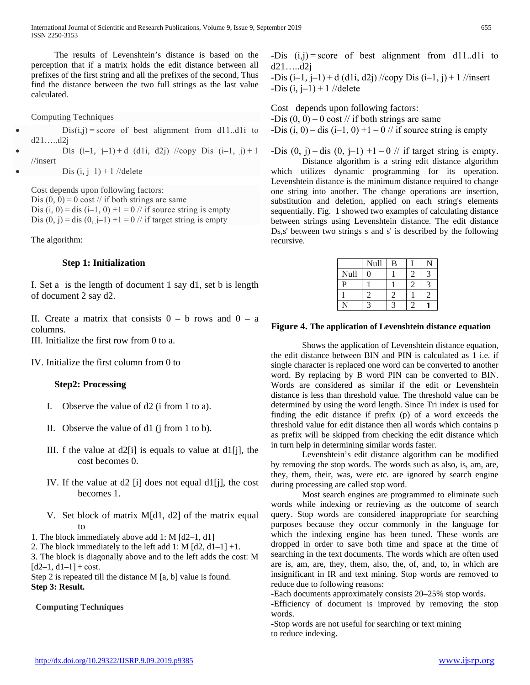The results of Levenshtein's distance is based on the perception that if a matrix holds the edit distance between all prefixes of the first string and all the prefixes of the second, Thus find the distance between the two full strings as the last value calculated.

Computing Techniques

 $Dis(i,j) = score$  of best alignment from d11..d1i to d21…..d2j Dis  $(i-1, j-1)+d$   $(d1i, d2j)$  //copy Dis  $(i-1, j)+1$ 

//insert

Dis  $(i, j-1) + 1$  //delete

Cost depends upon following factors: Dis  $(0, 0) = 0$  cost // if both strings are same Dis (i, 0) = dis (i–1, 0) +1 = 0  $\frac{\pi}{1}$  if source string is empty Dis  $(0, j) =$ dis  $(0, j-1) +1 = 0$  // if target string is empty

The algorithm:

## **Step 1: Initialization**

I. Set a is the length of document 1 say d1, set b is length of document 2 say d2.

II. Create a matrix that consists  $0 - b$  rows and  $0 - a$ columns.

III. Initialize the first row from 0 to a.

IV. Initialize the first column from 0 to

#### **Step2: Processing**

- I. Observe the value of d2 (i from 1 to a).
- II. Observe the value of d1 (j from 1 to b).
- III. f the value at  $d2[i]$  is equals to value at  $d1[i]$ , the cost becomes 0.
- IV. If the value at d2 [i] does not equal d1[j], the cost becomes 1.
- V. Set block of matrix M[d1, d2] of the matrix equal to
- 1. The block immediately above add 1: M [d2–1, d1]

2. The block immediately to the left add 1: M  $[d2, d1-1] + 1$ .

3. The block is diagonally above and to the left adds the cost: M  $[d2-1, d1-1] + cost.$ 

Step 2 is repeated till the distance M [a, b] value is found. **Step 3: Result.**

## **Computing Techniques**

-Dis  $(i,j)$  = score of best alignment from d11..d1i to d21…..d2j

 $-Dis (i-1, i-1) + d (d1i, d2i)$  //copy Dis  $(i-1, i) + 1$  //insert  $-Dis$  (i,  $j-1$ ) + 1 //delete

Cost depends upon following factors: -Dis  $(0, 0) = 0$  cost // if both strings are same -Dis  $(i, 0) =$ dis  $(i-1, 0) +1 = 0$  // if source string is empty

-Dis  $(0, j) =$ dis  $(0, j-1) +1 = 0$  // if target string is empty.

Distance algorithm is a string edit distance algorithm which utilizes dynamic programming for its operation. Levenshtein distance is the minimum distance required to change one string into another. The change operations are insertion, substitution and deletion, applied on each string's elements sequentially. Fig. 1 showed two examples of calculating distance between strings using Levenshtein distance. The edit distance Ds,s' between two strings s and s' is described by the following recursive.

|              | Null | B |  |
|--------------|------|---|--|
| Null         | 1    |   |  |
| $\mathbf{p}$ |      |   |  |
|              |      |   |  |
|              |      |   |  |

#### **Figure 4. The application of Levenshtein distance equation**

Shows the application of Levenshtein distance equation, the edit distance between BIN and PIN is calculated as 1 i.e. if single character is replaced one word can be converted to another word. By replacing by B word PIN can be converted to BIN. Words are considered as similar if the edit or Levenshtein distance is less than threshold value. The threshold value can be determined by using the word length. Since Tri index is used for finding the edit distance if prefix (p) of a word exceeds the threshold value for edit distance then all words which contains p as prefix will be skipped from checking the edit distance which in turn help in determining similar words faster.

Levenshtein's edit distance algorithm can be modified by removing the stop words. The words such as also, is, am, are, they, them, their, was, were etc. are ignored by search engine during processing are called stop word.

Most search engines are programmed to eliminate such words while indexing or retrieving as the outcome of search query. Stop words are considered inappropriate for searching purposes because they occur commonly in the language for which the indexing engine has been tuned. These words are dropped in order to save both time and space at the time of searching in the text documents. The words which are often used are is, am, are, they, them, also, the, of, and, to, in which are insignificant in IR and text mining. Stop words are removed to reduce due to following reasons:

-Each documents approximately consists 20–25% stop words.

-Efficiency of document is improved by removing the stop words.

-Stop words are not useful for searching or text mining to reduce indexing.